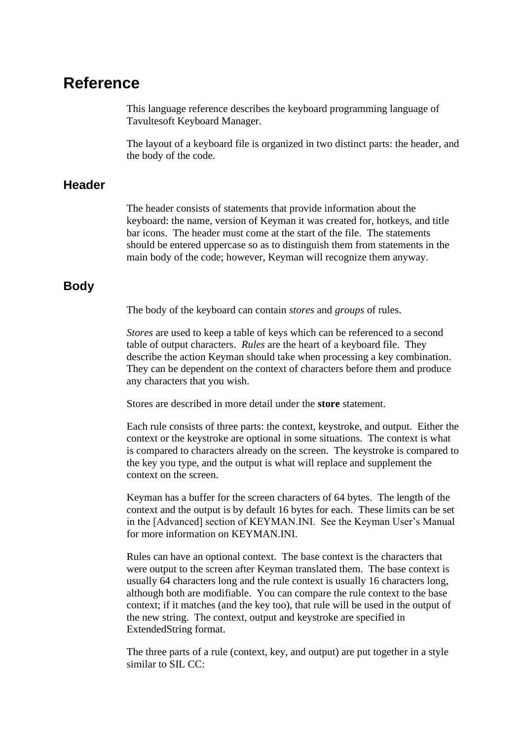# **Reference**

This language reference describes the keyboard programming language of Tavultesoft Keyboard Manager.

The layout of a keyboard file is organized in two distinct parts: the header, and the body of the code.

## **Header**

The header consists of statements that provide information about the keyboard: the name, version of Keyman it was created for, hotkeys, and title bar icons. The header must come at the start of the file. The statements should be entered uppercase so as to distinguish them from statements in the main body of the code; however, Keyman will recognize them anyway.

## **Body**

The body of the keyboard can contain *stores* and *groups* of rules.

*Stores* are used to keep a table of keys which can be referenced to a second table of output characters. *Rules* are the heart of a keyboard file. They describe the action Keyman should take when processing a key combination. They can be dependent on the context of characters before them and produce any characters that you wish.

Stores are described in more detail under the **store** statement.

Each rule consists of three parts: the context, keystroke, and output. Either the context or the keystroke are optional in some situations. The context is what is compared to characters already on the screen. The keystroke is compared to the key you type, and the output is what will replace and supplement the context on the screen.

Keyman has a buffer for the screen characters of 64 bytes. The length of the context and the output is by default 16 bytes for each. These limits can be set in the [Advanced] section of KEYMAN.INI. See the Keyman User's Manual for more information on KEYMAN.INI.

Rules can have an optional context. The base context is the characters that were output to the screen after Keyman translated them. The base context is usually 64 characters long and the rule context is usually 16 characters long, although both are modifiable. You can compare the rule context to the base context; if it matches (and the key too), that rule will be used in the output of the new string. The context, output and keystroke are specified in ExtendedString format.

The three parts of a rule (context, key, and output) are put together in a style similar to SIL CC: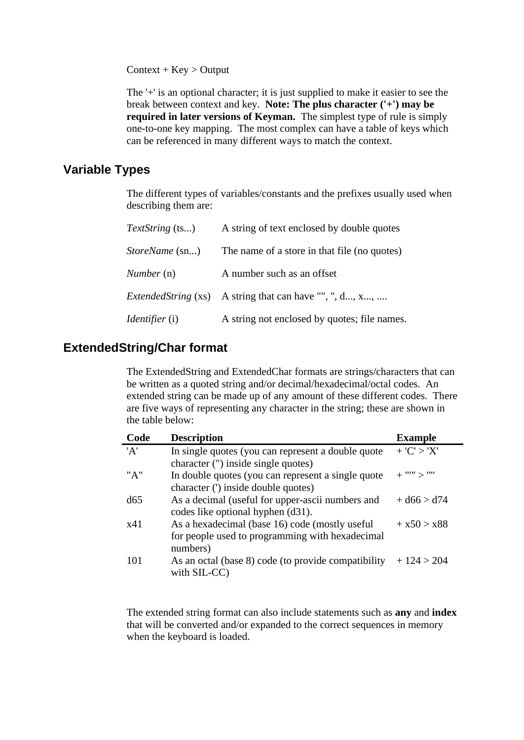$Context + Key > Output$ 

The '+' is an optional character; it is just supplied to make it easier to see the break between context and key. **Note: The plus character ('+') may be required in later versions of Keyman.** The simplest type of rule is simply one-to-one key mapping. The most complex can have a table of keys which can be referenced in many different ways to match the context.

## **Variable Types**

The different types of variables/constants and the prefixes usually used when describing them are:

| <i>TextString</i> (ts)         | A string of text enclosed by double quotes   |
|--------------------------------|----------------------------------------------|
| <i>StoreName</i> (sn)          | The name of a store in that file (no quotes) |
| Number (n)                     | A number such as an offset                   |
| <i>ExtendedString</i> (xs)     | A string that can have "", ", d, x,          |
| <i>Identifier</i> ( <i>i</i> ) | A string not enclosed by quotes; file names. |

## **ExtendedString/Char format**

The ExtendedString and ExtendedChar formats are strings/characters that can be written as a quoted string and/or decimal/hexadecimal/octal codes. An extended string can be made up of any amount of these different codes. There are five ways of representing any character in the string; these are shown in the table below:

| Code | <b>Description</b>                                  | <b>Example</b>    |
|------|-----------------------------------------------------|-------------------|
| 'A'  | In single quotes (you can represent a double quote  | + ' $C'$ > ' $X'$ |
|      | character (") inside single quotes)                 |                   |
| "A"  | In double quotes (you can represent a single quote  | $+$ "" $>$ ""     |
|      | character (') inside double quotes)                 |                   |
| d65  | As a decimal (useful for upper-ascii numbers and    | $+ d66 > d74$     |
|      | codes like optional hyphen (d31).                   |                   |
| x41  | As a hexadecimal (base 16) code (mostly useful      | $+ x50 > x88$     |
|      | for people used to programming with hexadecimal     |                   |
|      | numbers)                                            |                   |
| 101  | As an octal (base 8) code (to provide compatibility | $+124 > 204$      |
|      | with SIL-CC)                                        |                   |

The extended string format can also include statements such as **any** and **index** that will be converted and/or expanded to the correct sequences in memory when the keyboard is loaded.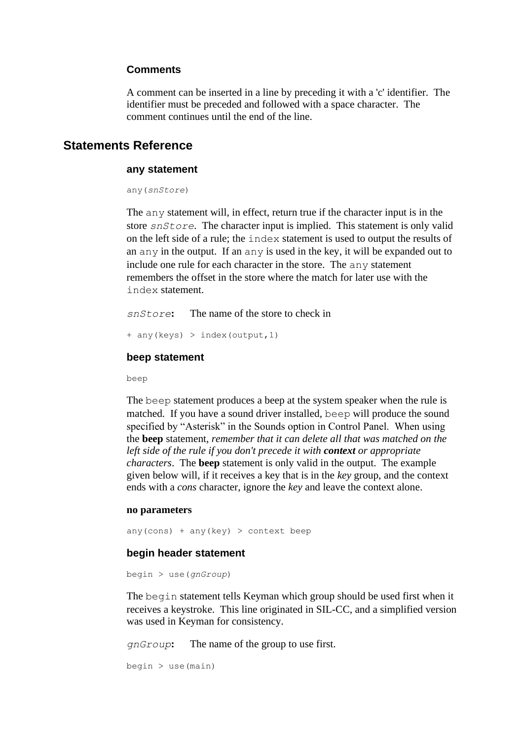## **Comments**

A comment can be inserted in a line by preceding it with a 'c' identifier. The identifier must be preceded and followed with a space character. The comment continues until the end of the line.

## **Statements Reference**

### **any statement**

any(*snStore*)

The any statement will, in effect, return true if the character input is in the store *snStore*. The character input is implied. This statement is only valid on the left side of a rule; the index statement is used to output the results of an any in the output. If an any is used in the key, it will be expanded out to include one rule for each character in the store. The any statement remembers the offset in the store where the match for later use with the index statement.

*snStore***:** The name of the store to check in

```
+ any(keys) > index(output,1)
```
#### **beep statement**

beep

The beep statement produces a beep at the system speaker when the rule is matched. If you have a sound driver installed, beep will produce the sound specified by "Asterisk" in the Sounds option in Control Panel. When using the **beep** statement, *remember that it can delete all that was matched on the left side of the rule if you don't precede it with context or appropriate characters*. The **beep** statement is only valid in the output. The example given below will, if it receives a key that is in the *key* group, and the context ends with a *cons* character, ignore the *key* and leave the context alone.

#### **no parameters**

any(cons) + any(key) > context beep

## **begin header statement**

begin > use(*gnGroup*)

The begin statement tells Keyman which group should be used first when it receives a keystroke. This line originated in SIL-CC, and a simplified version was used in Keyman for consistency.

*gnGroup***:** The name of the group to use first.

```
begin <math>begin</math>
```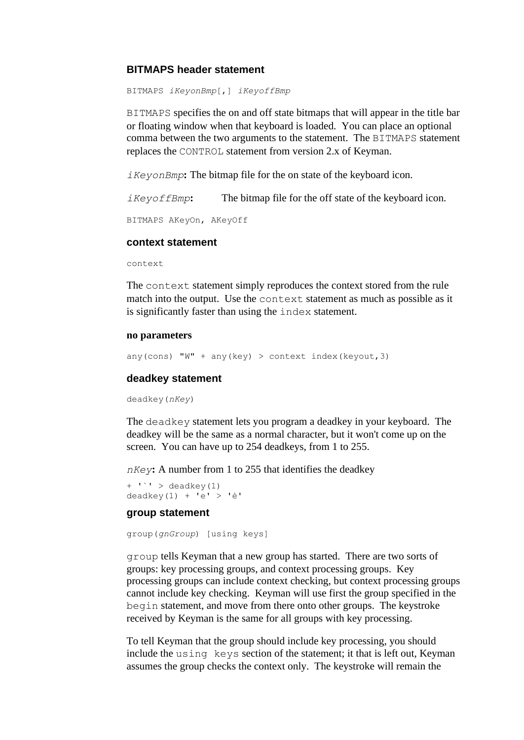## **BITMAPS header statement**

BITMAPS *iKeyonBmp*[,] *iKeyoffBmp*

BITMAPS specifies the on and off state bitmaps that will appear in the title bar or floating window when that keyboard is loaded. You can place an optional comma between the two arguments to the statement. The BITMAPS statement replaces the CONTROL statement from version 2.x of Keyman.

*iKeyonBmp***:** The bitmap file for the on state of the keyboard icon.

*iKeyoffBmp***:** The bitmap file for the off state of the keyboard icon.

BITMAPS AKeyOn, AKeyOff

### **context statement**

context

The context statement simply reproduces the context stored from the rule match into the output. Use the context statement as much as possible as it is significantly faster than using the index statement.

### **no parameters**

any(cons) "W" + any(key) > context index(keyout, 3)

### **deadkey statement**

deadkey(*nKey*)

The deadkey statement lets you program a deadkey in your keyboard. The deadkey will be the same as a normal character, but it won't come up on the screen. You can have up to 254 deadkeys, from 1 to 255.

*nKey***:** A number from 1 to 255 that identifies the deadkey

```
+ '' > deadkey(1)
deadkey(1) + 'e' > 'è'
```
## **group statement**

group(*gnGroup*) [using keys]

group tells Keyman that a new group has started. There are two sorts of groups: key processing groups, and context processing groups. Key processing groups can include context checking, but context processing groups cannot include key checking. Keyman will use first the group specified in the begin statement, and move from there onto other groups. The keystroke received by Keyman is the same for all groups with key processing.

To tell Keyman that the group should include key processing, you should include the using keys section of the statement; it that is left out, Keyman assumes the group checks the context only. The keystroke will remain the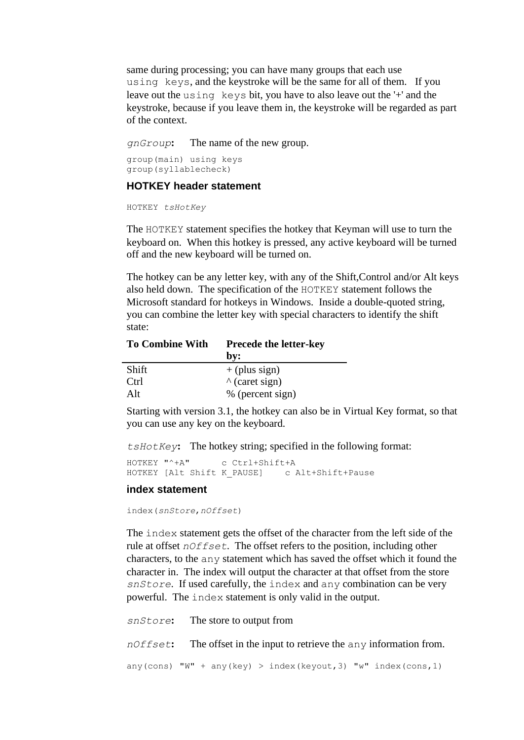same during processing; you can have many groups that each use using keys, and the keystroke will be the same for all of them. If you leave out the using keys bit, you have to also leave out the '+' and the keystroke, because if you leave them in, the keystroke will be regarded as part of the context.

*gnGroup***:** The name of the new group.

group(main) using keys group(syllablecheck)

### **HOTKEY header statement**

HOTKEY *tsHotKey*

The HOTKEY statement specifies the hotkey that Keyman will use to turn the keyboard on. When this hotkey is pressed, any active keyboard will be turned off and the new keyboard will be turned on.

The hotkey can be any letter key, with any of the Shift,Control and/or Alt keys also held down. The specification of the HOTKEY statement follows the Microsoft standard for hotkeys in Windows. Inside a double-quoted string, you can combine the letter key with special characters to identify the shift state:

| <b>To Combine With</b> | <b>Precede the letter-key</b> |  |
|------------------------|-------------------------------|--|
|                        | by:                           |  |
| Shift                  | $+$ (plus sign)               |  |
| Ctrl                   | $\wedge$ (caret sign)         |  |
| Al <sub>t</sub>        | % (percent sign)              |  |

Starting with version 3.1, the hotkey can also be in Virtual Key format, so that you can use any key on the keyboard.

*tsHotKey***:** The hotkey string; specified in the following format:

```
HOTKEY "^+A" c Ctrl+Shift+A
HOTKEY [Alt Shift K PAUSE] c Alt+Shift+Pause
```
#### **index statement**

index(*snStore*,*nOffset*)

The index statement gets the offset of the character from the left side of the rule at offset *nOffset*. The offset refers to the position, including other characters, to the any statement which has saved the offset which it found the character in. The index will output the character at that offset from the store *snStore*. If used carefully, the index and any combination can be very powerful. The index statement is only valid in the output.

| snStore: The store to output from                                         |
|---------------------------------------------------------------------------|
| $nOffset$ : The offset in the input to retrieve the any information from. |
| any (cons) "W" + any (key) > index (keyout, 3) "w" index (cons, 1)        |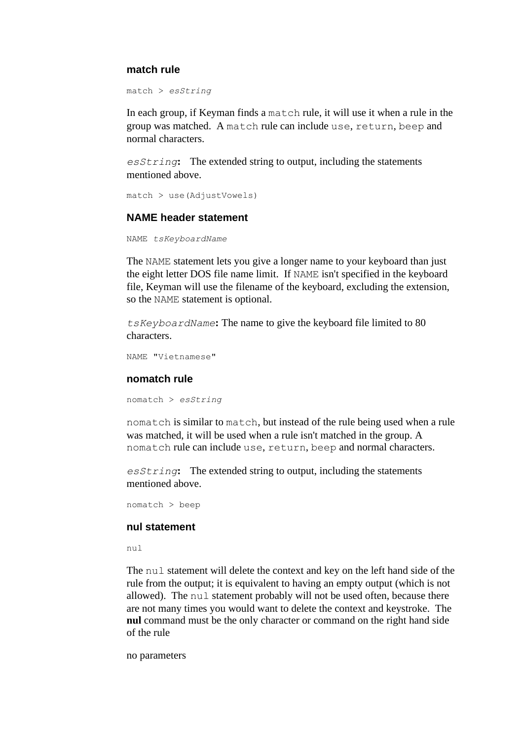### **match rule**

```
match > esString
```
In each group, if Keyman finds a match rule, it will use it when a rule in the group was matched. A match rule can include use, return, beep and normal characters.

*esString***:** The extended string to output, including the statements mentioned above.

```
match > use(AdjustVowels)
```
## **NAME header statement**

```
NAME tsKeyboardName
```
The NAME statement lets you give a longer name to your keyboard than just the eight letter DOS file name limit. If NAME isn't specified in the keyboard file, Keyman will use the filename of the keyboard, excluding the extension, so the NAME statement is optional.

*tsKeyboardName***:** The name to give the keyboard file limited to 80 characters.

```
NAME "Vietnamese"
```
### **nomatch rule**

nomatch > *esString*

nomatch is similar to match, but instead of the rule being used when a rule was matched, it will be used when a rule isn't matched in the group. A nomatch rule can include use, return, beep and normal characters.

*esString***:** The extended string to output, including the statements mentioned above.

nomatch > beep

#### **nul statement**

nul

The nul statement will delete the context and key on the left hand side of the rule from the output; it is equivalent to having an empty output (which is not allowed). The nul statement probably will not be used often, because there are not many times you would want to delete the context and keystroke. The **nul** command must be the only character or command on the right hand side of the rule

no parameters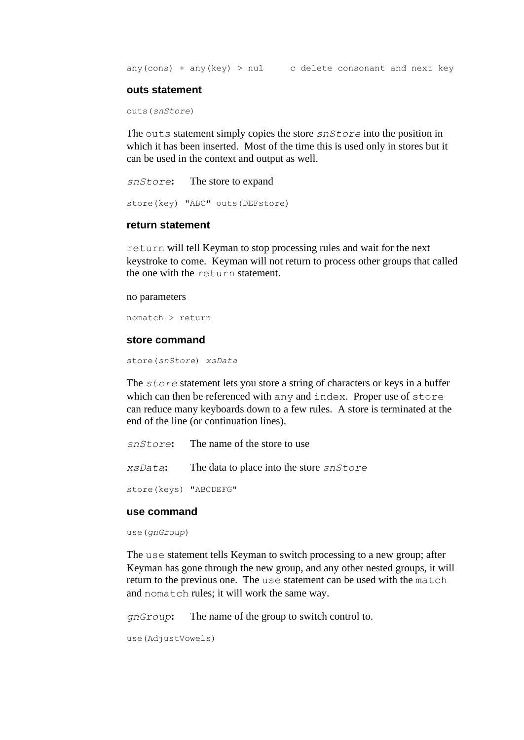any(cons) + any(key) > nul c delete consonant and next key

#### **outs statement**

outs(*snStore*)

The outs statement simply copies the store *snStore* into the position in which it has been inserted. Most of the time this is used only in stores but it can be used in the context and output as well.

```
snStore: The store to expand
store(key) "ABC" outs(DEFstore)
```
### **return statement**

return will tell Keyman to stop processing rules and wait for the next keystroke to come. Keyman will not return to process other groups that called the one with the return statement.

#### no parameters

nomatch > return

#### **store command**

store(*snStore*) *xsData*

The *store* statement lets you store a string of characters or keys in a buffer which can then be referenced with any and index. Proper use of store can reduce many keyboards down to a few rules. A store is terminated at the end of the line (or continuation lines).

```
snStore: The name of the store to use
xsData: The data to place into the store snStore
store(keys) "ABCDEFG"
```
## **use command**

use(*gnGroup*)

The use statement tells Keyman to switch processing to a new group; after Keyman has gone through the new group, and any other nested groups, it will return to the previous one. The use statement can be used with the match and nomatch rules; it will work the same way.

*gnGroup***:** The name of the group to switch control to.

```
use(AdjustVowels)
```